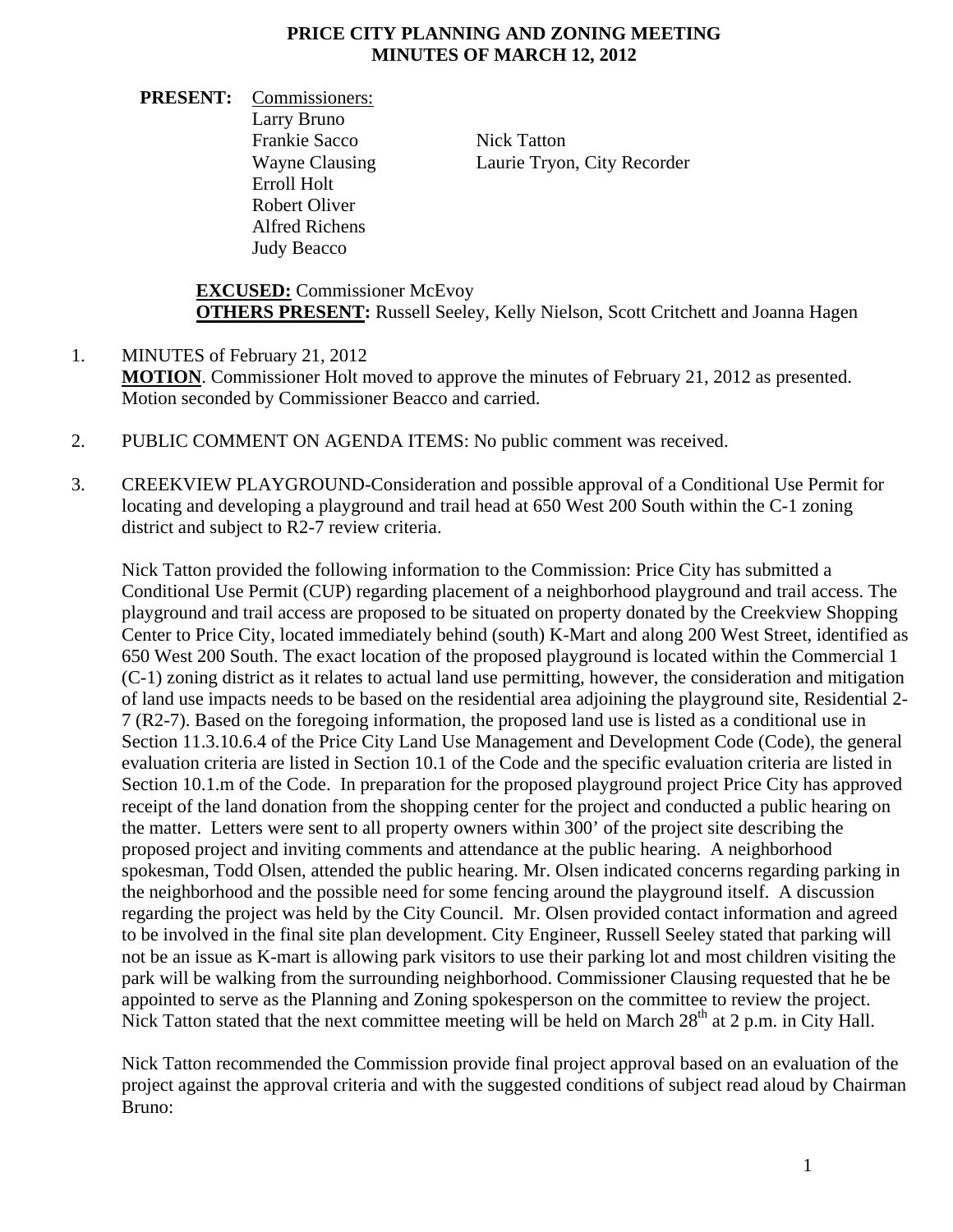## **PRICE CITY PLANNING AND ZONING MEETING MINUTES OF MARCH 12, 2012**

**PRESENT:** Commissioners: Larry Bruno Frankie Sacco Nick Tatton Erroll Holt Robert Oliver Alfred Richens Judy Beacco

Wayne Clausing Laurie Tryon, City Recorder

**EXCUSED:** Commissioner McEvoy **OTHERS PRESENT:** Russell Seeley, Kelly Nielson, Scott Critchett and Joanna Hagen

- 1. MINUTES of February 21, 2012 **MOTION**. Commissioner Holt moved to approve the minutes of February 21, 2012 as presented. Motion seconded by Commissioner Beacco and carried.
- 2. PUBLIC COMMENT ON AGENDA ITEMS: No public comment was received.
- 3. CREEKVIEW PLAYGROUND-Consideration and possible approval of a Conditional Use Permit for locating and developing a playground and trail head at 650 West 200 South within the C-1 zoning district and subject to R2-7 review criteria.

Nick Tatton provided the following information to the Commission: Price City has submitted a Conditional Use Permit (CUP) regarding placement of a neighborhood playground and trail access. The playground and trail access are proposed to be situated on property donated by the Creekview Shopping Center to Price City, located immediately behind (south) K-Mart and along 200 West Street, identified as 650 West 200 South. The exact location of the proposed playground is located within the Commercial 1 (C-1) zoning district as it relates to actual land use permitting, however, the consideration and mitigation of land use impacts needs to be based on the residential area adjoining the playground site, Residential 2- 7 (R2-7). Based on the foregoing information, the proposed land use is listed as a conditional use in Section 11.3.10.6.4 of the Price City Land Use Management and Development Code (Code), the general evaluation criteria are listed in Section 10.1 of the Code and the specific evaluation criteria are listed in Section 10.1.m of the Code. In preparation for the proposed playground project Price City has approved receipt of the land donation from the shopping center for the project and conducted a public hearing on the matter. Letters were sent to all property owners within 300' of the project site describing the proposed project and inviting comments and attendance at the public hearing. A neighborhood spokesman, Todd Olsen, attended the public hearing. Mr. Olsen indicated concerns regarding parking in the neighborhood and the possible need for some fencing around the playground itself. A discussion regarding the project was held by the City Council. Mr. Olsen provided contact information and agreed to be involved in the final site plan development. City Engineer, Russell Seeley stated that parking will not be an issue as K-mart is allowing park visitors to use their parking lot and most children visiting the park will be walking from the surrounding neighborhood. Commissioner Clausing requested that he be appointed to serve as the Planning and Zoning spokesperson on the committee to review the project. Nick Tatton stated that the next committee meeting will be held on March  $28<sup>th</sup>$  at 2 p.m. in City Hall.

Nick Tatton recommended the Commission provide final project approval based on an evaluation of the project against the approval criteria and with the suggested conditions of subject read aloud by Chairman Bruno: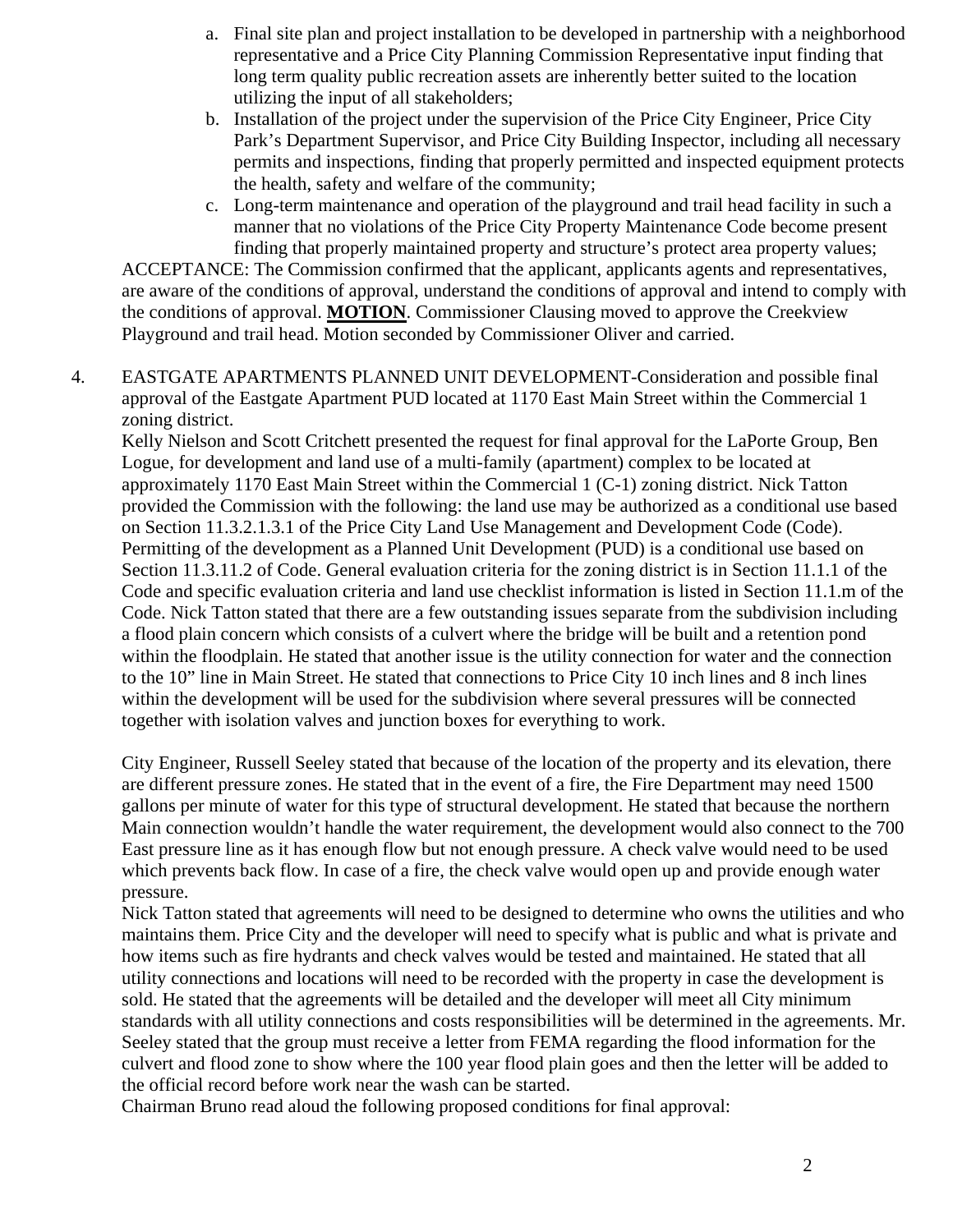- a. Final site plan and project installation to be developed in partnership with a neighborhood representative and a Price City Planning Commission Representative input finding that long term quality public recreation assets are inherently better suited to the location utilizing the input of all stakeholders;
- b. Installation of the project under the supervision of the Price City Engineer, Price City Park's Department Supervisor, and Price City Building Inspector, including all necessary permits and inspections, finding that properly permitted and inspected equipment protects the health, safety and welfare of the community;
- c. Long-term maintenance and operation of the playground and trail head facility in such a manner that no violations of the Price City Property Maintenance Code become present finding that properly maintained property and structure's protect area property values;

ACCEPTANCE: The Commission confirmed that the applicant, applicants agents and representatives, are aware of the conditions of approval, understand the conditions of approval and intend to comply with the conditions of approval. **MOTION**. Commissioner Clausing moved to approve the Creekview Playground and trail head. Motion seconded by Commissioner Oliver and carried.

4. EASTGATE APARTMENTS PLANNED UNIT DEVELOPMENT-Consideration and possible final approval of the Eastgate Apartment PUD located at 1170 East Main Street within the Commercial 1 zoning district.

Kelly Nielson and Scott Critchett presented the request for final approval for the LaPorte Group, Ben Logue, for development and land use of a multi-family (apartment) complex to be located at approximately 1170 East Main Street within the Commercial 1 (C-1) zoning district. Nick Tatton provided the Commission with the following: the land use may be authorized as a conditional use based on Section 11.3.2.1.3.1 of the Price City Land Use Management and Development Code (Code). Permitting of the development as a Planned Unit Development (PUD) is a conditional use based on Section 11.3.11.2 of Code. General evaluation criteria for the zoning district is in Section 11.1.1 of the Code and specific evaluation criteria and land use checklist information is listed in Section 11.1.m of the Code. Nick Tatton stated that there are a few outstanding issues separate from the subdivision including a flood plain concern which consists of a culvert where the bridge will be built and a retention pond within the floodplain. He stated that another issue is the utility connection for water and the connection to the 10" line in Main Street. He stated that connections to Price City 10 inch lines and 8 inch lines within the development will be used for the subdivision where several pressures will be connected together with isolation valves and junction boxes for everything to work.

City Engineer, Russell Seeley stated that because of the location of the property and its elevation, there are different pressure zones. He stated that in the event of a fire, the Fire Department may need 1500 gallons per minute of water for this type of structural development. He stated that because the northern Main connection wouldn't handle the water requirement, the development would also connect to the 700 East pressure line as it has enough flow but not enough pressure. A check valve would need to be used which prevents back flow. In case of a fire, the check valve would open up and provide enough water pressure.

Nick Tatton stated that agreements will need to be designed to determine who owns the utilities and who maintains them. Price City and the developer will need to specify what is public and what is private and how items such as fire hydrants and check valves would be tested and maintained. He stated that all utility connections and locations will need to be recorded with the property in case the development is sold. He stated that the agreements will be detailed and the developer will meet all City minimum standards with all utility connections and costs responsibilities will be determined in the agreements. Mr. Seeley stated that the group must receive a letter from FEMA regarding the flood information for the culvert and flood zone to show where the 100 year flood plain goes and then the letter will be added to the official record before work near the wash can be started.

Chairman Bruno read aloud the following proposed conditions for final approval: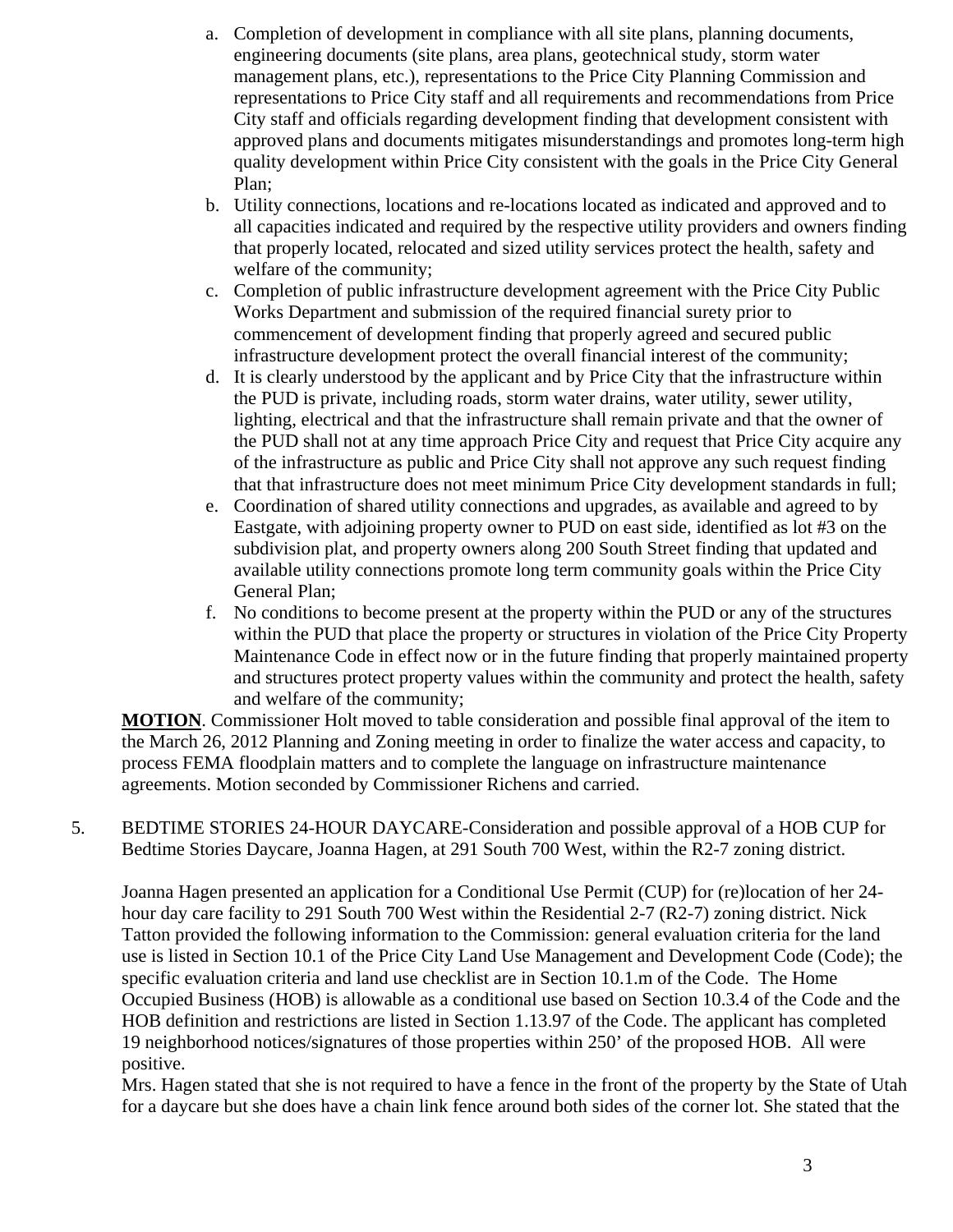- a. Completion of development in compliance with all site plans, planning documents, engineering documents (site plans, area plans, geotechnical study, storm water management plans, etc.), representations to the Price City Planning Commission and representations to Price City staff and all requirements and recommendations from Price City staff and officials regarding development finding that development consistent with approved plans and documents mitigates misunderstandings and promotes long-term high quality development within Price City consistent with the goals in the Price City General Plan;
- b. Utility connections, locations and re-locations located as indicated and approved and to all capacities indicated and required by the respective utility providers and owners finding that properly located, relocated and sized utility services protect the health, safety and welfare of the community;
- c. Completion of public infrastructure development agreement with the Price City Public Works Department and submission of the required financial surety prior to commencement of development finding that properly agreed and secured public infrastructure development protect the overall financial interest of the community;
- d. It is clearly understood by the applicant and by Price City that the infrastructure within the PUD is private, including roads, storm water drains, water utility, sewer utility, lighting, electrical and that the infrastructure shall remain private and that the owner of the PUD shall not at any time approach Price City and request that Price City acquire any of the infrastructure as public and Price City shall not approve any such request finding that that infrastructure does not meet minimum Price City development standards in full;
- e. Coordination of shared utility connections and upgrades, as available and agreed to by Eastgate, with adjoining property owner to PUD on east side, identified as lot #3 on the subdivision plat, and property owners along 200 South Street finding that updated and available utility connections promote long term community goals within the Price City General Plan;
- f. No conditions to become present at the property within the PUD or any of the structures within the PUD that place the property or structures in violation of the Price City Property Maintenance Code in effect now or in the future finding that properly maintained property and structures protect property values within the community and protect the health, safety and welfare of the community;

**MOTION**. Commissioner Holt moved to table consideration and possible final approval of the item to the March 26, 2012 Planning and Zoning meeting in order to finalize the water access and capacity, to process FEMA floodplain matters and to complete the language on infrastructure maintenance agreements. Motion seconded by Commissioner Richens and carried.

5. BEDTIME STORIES 24-HOUR DAYCARE-Consideration and possible approval of a HOB CUP for Bedtime Stories Daycare, Joanna Hagen, at 291 South 700 West, within the R2-7 zoning district.

Joanna Hagen presented an application for a Conditional Use Permit (CUP) for (re)location of her 24 hour day care facility to 291 South 700 West within the Residential 2-7 (R2-7) zoning district. Nick Tatton provided the following information to the Commission: general evaluation criteria for the land use is listed in Section 10.1 of the Price City Land Use Management and Development Code (Code); the specific evaluation criteria and land use checklist are in Section 10.1.m of the Code. The Home Occupied Business (HOB) is allowable as a conditional use based on Section 10.3.4 of the Code and the HOB definition and restrictions are listed in Section 1.13.97 of the Code. The applicant has completed 19 neighborhood notices/signatures of those properties within 250' of the proposed HOB. All were positive.

Mrs. Hagen stated that she is not required to have a fence in the front of the property by the State of Utah for a daycare but she does have a chain link fence around both sides of the corner lot. She stated that the